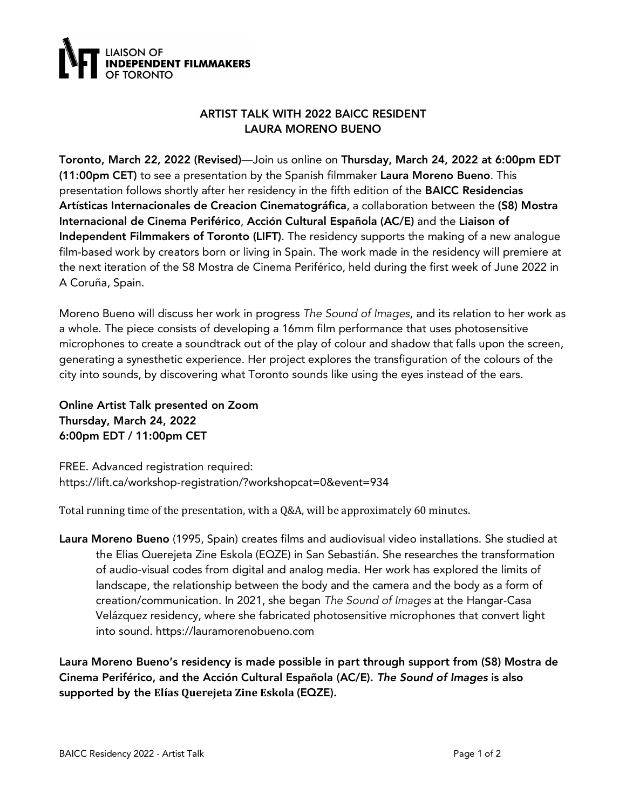

## ARTIST TALK WITH 2022 BAICC RESIDENT LAURA MORENO BUENO

Toronto, March 22, 2022 (Revised)—Join us online on Thursday, March 24, 2022 at 6:00pm EDT (11:00pm CET) to see a presentation by the Spanish filmmaker Laura Moreno Bueno. This presentation follows shortly after her residency in the fifth edition of the BAICC Residencias Artísticas Internacionales de Creacion Cinematográfica, a collaboration between the (S8) Mostra Internacional de Cinema Periférico, Acción Cultural Española (AC/E) and the Liaison of Independent Filmmakers of Toronto (LIFT). The residency supports the making of a new analogue film-based work by creators born or living in Spain. The work made in the residency will premiere at the next iteration of the S8 Mostra de Cinema Periférico, held during the first week of June 2022 in A Coruña, Spain.

Moreno Bueno will discuss her work in progress *The Sound of Images*, and its relation to her work as a whole. The piece consists of developing a 16mm film performance that uses photosensitive microphones to create a soundtrack out of the play of colour and shadow that falls upon the screen, generating a synesthetic experience. Her project explores the transfiguration of the colours of the city into sounds, by discovering what Toronto sounds like using the eyes instead of the ears.

Online Artist Talk presented on Zoom Thursday, March 24, 2022 6:00pm EDT / 11:00pm CET

FREE. Advanced registration required: https://lift.ca/workshop-registration/?workshopcat=0&event=934

Total running time of the presentation, with a  $Q&A$ , will be approximately 60 minutes.

Laura Moreno Bueno (1995, Spain) creates films and audiovisual video installations. She studied at the Elias Querejeta Zine Eskola (EQZE) in San Sebastián. She researches the transformation of audio-visual codes from digital and analog media. Her work has explored the limits of landscape, the relationship between the body and the camera and the body as a form of creation/communication. In 2021, she began *The Sound of Images* at the Hangar-Casa Velázquez residency, where she fabricated photosensitive microphones that convert light into sound. https://lauramorenobueno.com

Laura Moreno Bueno's residency is made possible in part through support from (S8) Mostra de Cinema Periférico, and the Acción Cultural Española (AC/E). *The Sound of Images* is also supported by the Elías Querejeta Zine Eskola (EQZE).